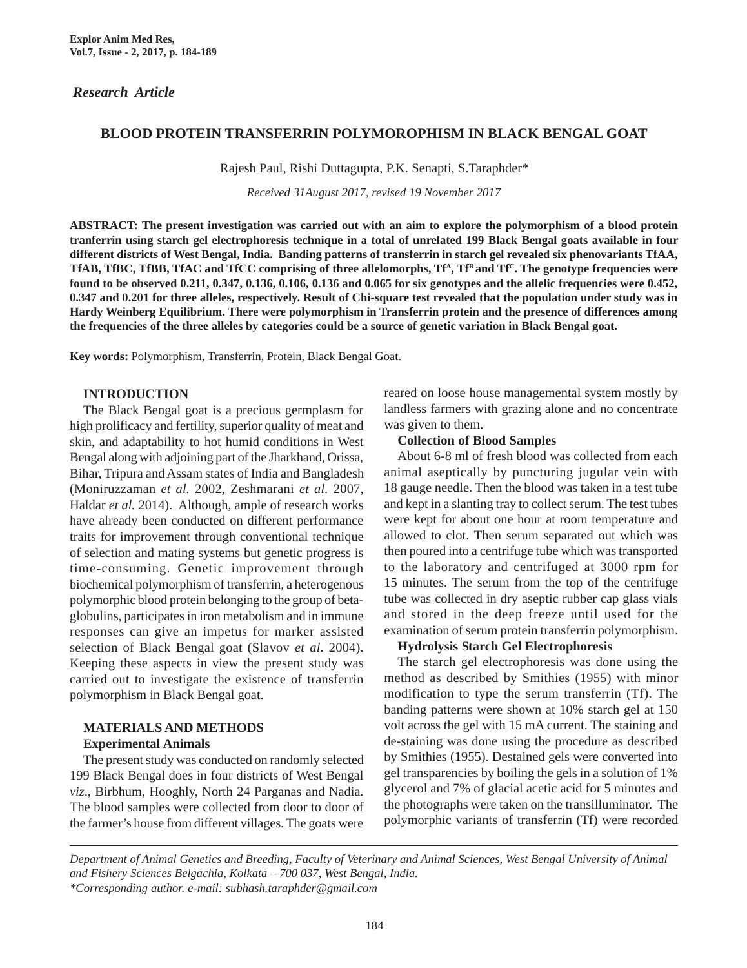# *Research Article*

# **BLOOD PROTEIN TRANSFERRIN POLYMOROPHISM IN BLACK BENGAL GOAT**

Rajesh Paul, Rishi Duttagupta, P.K. Senapti, S.Taraphder\*

*Received 31August 2017, revised 19 November 2017*

**ABSTRACT: The present investigation was carried out with an aim to explore the polymorphism of a blood protein tranferrin using starch gel electrophoresis technique in a total of unrelated 199 Black Bengal goats available in four different districts of West Bengal, India. Banding patterns of transferrin in starch gel revealed six phenovariants TfAA,** TfAB, TfBC, TfBB, TfAC and TfCC comprising of three allelomorphs, Tf<sup>A</sup>, Tf<sup>B</sup> and Tf<sup>C</sup>. The genotype frequencies were **found to be observed 0.211, 0.347, 0.136, 0.106, 0.136 and 0.065 for six genotypes and the allelic frequencies were 0.452, 0.347 and 0.201 for three alleles, respectively. Result of Chi-square test revealed that the population under study was in Hardy Weinberg Equilibrium. There were polymorphism in Transferrin protein and the presence of differences among the frequencies of the three alleles by categories could be a source of genetic variation in Black Bengal goat.**

**Key words:** Polymorphism, Transferrin, Protein, Black Bengal Goat.

#### **INTRODUCTION**

The Black Bengal goat is a precious germplasm for high prolificacy and fertility, superior quality of meat and skin, and adaptability to hot humid conditions in West Bengal along with adjoining part of the Jharkhand, Orissa, Bihar, Tripura and Assam states of India and Bangladesh (Moniruzzaman *et al.* 2002, Zeshmarani *et al.* 2007, Haldar *et al.* 2014). Although, ample of research works have already been conducted on different performance traits for improvement through conventional technique of selection and mating systems but genetic progress is time-consuming. Genetic improvement through biochemical polymorphism of transferrin, a heterogenous polymorphic blood protein belonging to the group of betaglobulins, participates in iron metabolism and in immune responses can give an impetus for marker assisted selection of Black Bengal goat (Slavov *et al*. 2004). Keeping these aspects in view the present study was carried out to investigate the existence of transferrin polymorphism in Black Bengal goat.

# **MATERIALS AND METHODS**

**Experimental Animals**

The present study was conducted on randomly selected 199 Black Bengal does in four districts of West Bengal *viz*., Birbhum, Hooghly, North 24 Parganas and Nadia. The blood samples were collected from door to door of the farmer's house from different villages. The goats were

reared on loose house managemental system mostly by landless farmers with grazing alone and no concentrate was given to them.

**Collection of Blood Samples**

About 6-8 ml of fresh blood was collected from each animal aseptically by puncturing jugular vein with 18 gauge needle. Then the blood was taken in a test tube and kept in a slanting tray to collect serum. The test tubes were kept for about one hour at room temperature and allowed to clot. Then serum separated out which was then poured into a centrifuge tube which was transported to the laboratory and centrifuged at 3000 rpm for 15 minutes. The serum from the top of the centrifuge tube was collected in dry aseptic rubber cap glass vials and stored in the deep freeze until used for the examination of serum protein transferrin polymorphism.

# **Hydrolysis Starch Gel Electrophoresis**

The starch gel electrophoresis was done using the method as described by Smithies (1955) with minor modification to type the serum transferrin (Tf). The banding patterns were shown at 10% starch gel at 150 volt across the gel with 15 mA current. The staining and de-staining was done using the procedure as described by Smithies (1955). Destained gels were converted into gel transparencies by boiling the gels in a solution of 1% glycerol and 7% of glacial acetic acid for 5 minutes and the photographs were taken on the transilluminator. The polymorphic variants of transferrin (Tf) were recorded

*Department of Animal Genetics and Breeding, Faculty of Veterinary and Animal Sciences, West Bengal University of Animal and Fishery Sciences Belgachia, Kolkata – 700 037, West Bengal, India. \*Corresponding author. e-mail: subhash.taraphder@gmail.com*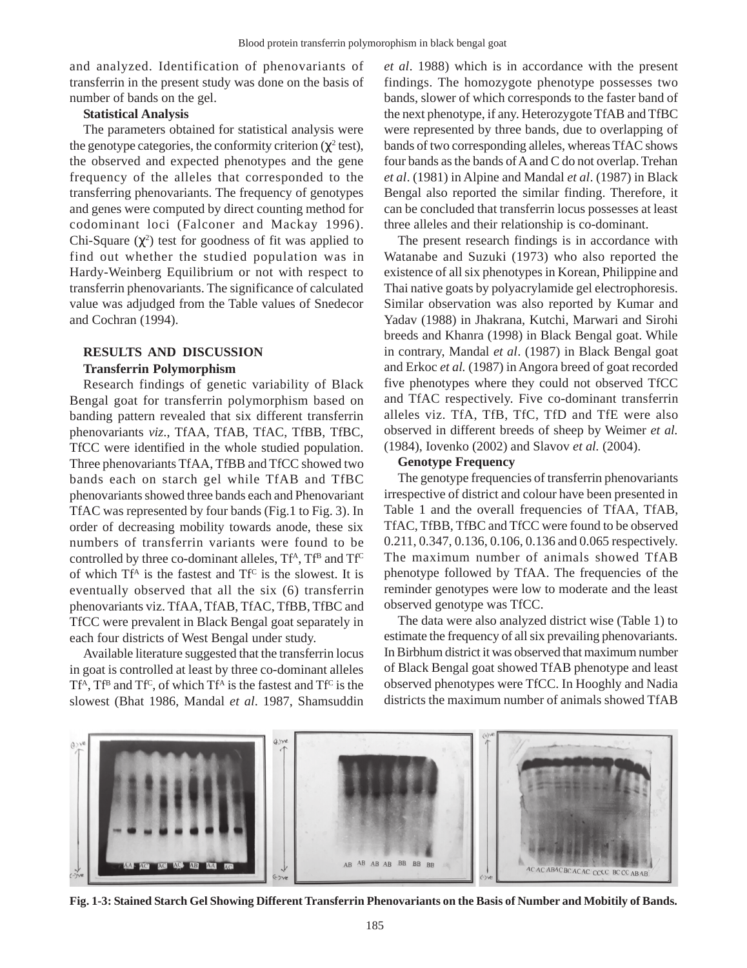and analyzed. Identification of phenovariants of transferrin in the present study was done on the basis of number of bands on the gel.

# **Statistical Analysis**

The parameters obtained for statistical analysis were the genotype categories, the conformity criterion  $(\chi^2 \text{ test})$ , the observed and expected phenotypes and the gene frequency of the alleles that corresponded to the transferring phenovariants. The frequency of genotypes and genes were computed by direct counting method for codominant loci (Falconer and Mackay 1996). Chi-Square  $(\chi^2)$  test for goodness of fit was applied to find out whether the studied population was in Hardy-Weinberg Equilibrium or not with respect to transferrin phenovariants. The significance of calculated value was adjudged from the Table values of Snedecor and Cochran (1994).

# **RESULTS AND DISCUSSION Transferrin Polymorphism**

Research findings of genetic variability of Black Bengal goat for transferrin polymorphism based on banding pattern revealed that six different transferrin phenovariants *viz*., TfAA, TfAB, TfAC, TfBB, TfBC, TfCC were identified in the whole studied population. Three phenovariants TfAA, TfBB and TfCC showed two bands each on starch gel while TfAB and TfBC phenovariants showed three bands each and Phenovariant TfAC was represented by four bands (Fig.1 to Fig. 3). In order of decreasing mobility towards anode, these six numbers of transferrin variants were found to be controlled by three co-dominant alleles,  $Tf^A$ ,  $Tf^B$  and  $Tf^C$ of which  $Tf^A$  is the fastest and  $Tf^C$  is the slowest. It is eventually observed that all the six (6) transferrin phenovariants viz. TfAA, TfAB, TfAC, TfBB, TfBC and TfCC were prevalent in Black Bengal goat separately in each four districts of West Bengal under study.

Available literature suggested that the transferrin locus in goat is controlled at least by three co-dominant alleles  $Tf^{A}$ ,  $Tf^{B}$  and  $Tf^{C}$ , of which  $Tf^{A}$  is the fastest and  $Tf^{C}$  is the slowest (Bhat 1986, Mandal *et al*. 1987, Shamsuddin

*et al*. 1988) which is in accordance with the present findings. The homozygote phenotype possesses two bands, slower of which corresponds to the faster band of the next phenotype, if any. Heterozygote TfAB and TfBC were represented by three bands, due to overlapping of bands of two corresponding alleles, whereas TfAC shows four bands as the bands of A and C do not overlap. Trehan *et al*. (1981) in Alpine and Mandal *et al*. (1987) in Black Bengal also reported the similar finding. Therefore, it can be concluded that transferrin locus possesses at least three alleles and their relationship is co-dominant.

The present research findings is in accordance with Watanabe and Suzuki (1973) who also reported the existence of all six phenotypes in Korean, Philippine and Thai native goats by polyacrylamide gel electrophoresis. Similar observation was also reported by Kumar and Yadav (1988) in Jhakrana, Kutchi, Marwari and Sirohi breeds and Khanra (1998) in Black Bengal goat. While in contrary, Mandal *et al*. (1987) in Black Bengal goat and Erkoc *et al.* (1987) in Angora breed of goat recorded five phenotypes where they could not observed TfCC and TfAC respectively. Five co-dominant transferrin alleles viz. TfA, TfB, TfC, TfD and TfE were also observed in different breeds of sheep by Weimer *et al.* (1984), Iovenko (2002) and Slavov *et al.* (2004).

# **Genotype Frequency**

The genotype frequencies of transferrin phenovariants irrespective of district and colour have been presented in Table 1 and the overall frequencies of TfAA, TfAB, TfAC, TfBB, TfBC and TfCC were found to be observed 0.211, 0.347, 0.136, 0.106, 0.136 and 0.065 respectively. The maximum number of animals showed TfAB phenotype followed by TfAA. The frequencies of the reminder genotypes were low to moderate and the least observed genotype was TfCC.

The data were also analyzed district wise (Table 1) to estimate the frequency of all six prevailing phenovariants. In Birbhum district it was observed that maximum number of Black Bengal goat showed TfAB phenotype and least observed phenotypes were TfCC. In Hooghly and Nadia districts the maximum number of animals showed TfAB



**Fig. 1-3: Stained Starch Gel Showing Different Transferrin Phenovariants on the Basis of Number and Mobitily of Bands.**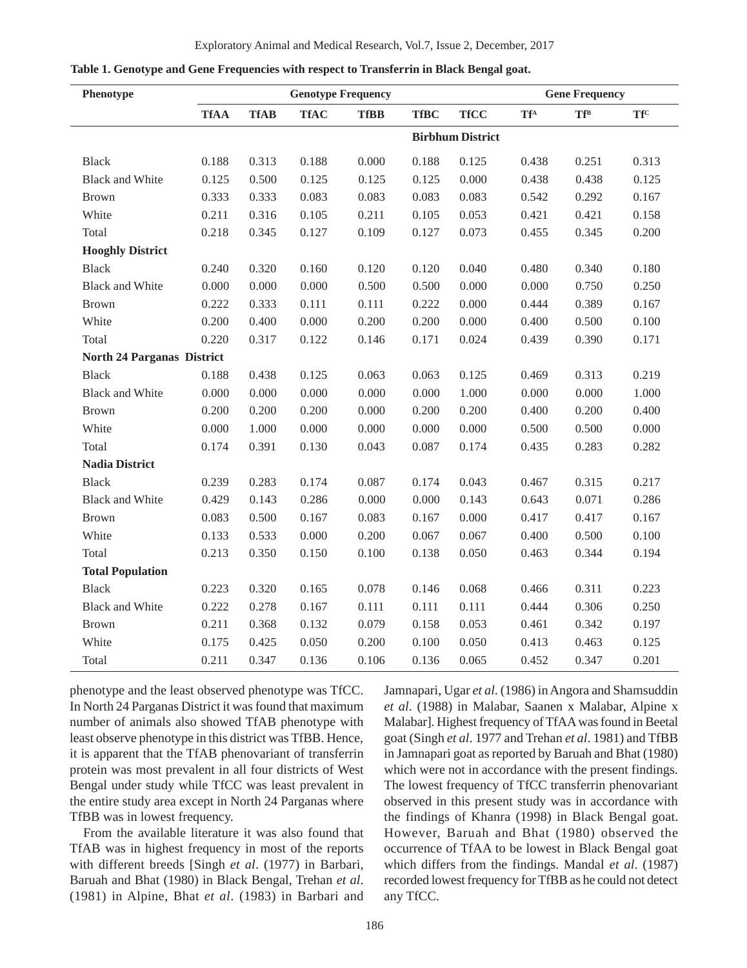| Phenotype                         | <b>Genotype Frequency</b> |                         |             |             | <b>Gene Frequency</b> |             |                                     |            |                                   |
|-----------------------------------|---------------------------|-------------------------|-------------|-------------|-----------------------|-------------|-------------------------------------|------------|-----------------------------------|
|                                   | <b>TfAA</b>               | <b>TfAB</b>             | <b>TfAC</b> | <b>TfBB</b> | <b>TfBC</b>           | <b>TfCC</b> | $\mathbf{T}\mathbf{f}^{\mathrm{A}}$ | <b>TfB</b> | $\mathbf{T}\mathbf{f}^{\text{C}}$ |
|                                   |                           | <b>Birbhum District</b> |             |             |                       |             |                                     |            |                                   |
| <b>Black</b>                      | 0.188                     | 0.313                   | 0.188       | 0.000       | 0.188                 | 0.125       | 0.438                               | 0.251      | 0.313                             |
| <b>Black and White</b>            | 0.125                     | 0.500                   | 0.125       | 0.125       | 0.125                 | 0.000       | 0.438                               | 0.438      | 0.125                             |
| <b>Brown</b>                      | 0.333                     | 0.333                   | 0.083       | 0.083       | 0.083                 | 0.083       | 0.542                               | 0.292      | 0.167                             |
| White                             | 0.211                     | 0.316                   | 0.105       | 0.211       | 0.105                 | 0.053       | 0.421                               | 0.421      | 0.158                             |
| Total                             | 0.218                     | 0.345                   | 0.127       | 0.109       | 0.127                 | 0.073       | 0.455                               | 0.345      | 0.200                             |
| <b>Hooghly District</b>           |                           |                         |             |             |                       |             |                                     |            |                                   |
| <b>Black</b>                      | 0.240                     | 0.320                   | 0.160       | 0.120       | 0.120                 | 0.040       | 0.480                               | 0.340      | 0.180                             |
| <b>Black and White</b>            | 0.000                     | 0.000                   | 0.000       | 0.500       | 0.500                 | 0.000       | 0.000                               | 0.750      | 0.250                             |
| <b>Brown</b>                      | 0.222                     | 0.333                   | 0.111       | 0.111       | 0.222                 | 0.000       | 0.444                               | 0.389      | 0.167                             |
| White                             | 0.200                     | 0.400                   | 0.000       | 0.200       | 0.200                 | 0.000       | 0.400                               | 0.500      | 0.100                             |
| Total                             | 0.220                     | 0.317                   | 0.122       | 0.146       | 0.171                 | 0.024       | 0.439                               | 0.390      | 0.171                             |
| <b>North 24 Parganas District</b> |                           |                         |             |             |                       |             |                                     |            |                                   |
| <b>Black</b>                      | 0.188                     | 0.438                   | 0.125       | 0.063       | 0.063                 | 0.125       | 0.469                               | 0.313      | 0.219                             |
| <b>Black and White</b>            | 0.000                     | 0.000                   | 0.000       | 0.000       | 0.000                 | 1.000       | 0.000                               | 0.000      | 1.000                             |
| <b>Brown</b>                      | 0.200                     | 0.200                   | 0.200       | 0.000       | 0.200                 | 0.200       | 0.400                               | 0.200      | 0.400                             |
| White                             | 0.000                     | 1.000                   | 0.000       | 0.000       | 0.000                 | 0.000       | 0.500                               | 0.500      | 0.000                             |
| Total                             | 0.174                     | 0.391                   | 0.130       | 0.043       | 0.087                 | 0.174       | 0.435                               | 0.283      | 0.282                             |
| <b>Nadia District</b>             |                           |                         |             |             |                       |             |                                     |            |                                   |
| <b>Black</b>                      | 0.239                     | 0.283                   | 0.174       | 0.087       | 0.174                 | 0.043       | 0.467                               | 0.315      | 0.217                             |
| <b>Black and White</b>            | 0.429                     | 0.143                   | 0.286       | 0.000       | 0.000                 | 0.143       | 0.643                               | 0.071      | 0.286                             |
| <b>Brown</b>                      | 0.083                     | 0.500                   | 0.167       | 0.083       | 0.167                 | 0.000       | 0.417                               | 0.417      | 0.167                             |
| White                             | 0.133                     | 0.533                   | 0.000       | 0.200       | 0.067                 | 0.067       | 0.400                               | 0.500      | 0.100                             |
| Total                             | 0.213                     | 0.350                   | 0.150       | 0.100       | 0.138                 | 0.050       | 0.463                               | 0.344      | 0.194                             |
| <b>Total Population</b>           |                           |                         |             |             |                       |             |                                     |            |                                   |
| <b>Black</b>                      | 0.223                     | 0.320                   | 0.165       | 0.078       | 0.146                 | 0.068       | 0.466                               | 0.311      | 0.223                             |
| <b>Black and White</b>            | 0.222                     | 0.278                   | 0.167       | 0.111       | 0.111                 | 0.111       | 0.444                               | 0.306      | 0.250                             |
| <b>Brown</b>                      | 0.211                     | 0.368                   | 0.132       | 0.079       | 0.158                 | 0.053       | 0.461                               | 0.342      | 0.197                             |
| White                             | 0.175                     | 0.425                   | 0.050       | 0.200       | 0.100                 | 0.050       | 0.413                               | 0.463      | 0.125                             |
| Total                             | 0.211                     | 0.347                   | 0.136       | 0.106       | 0.136                 | 0.065       | 0.452                               | 0.347      | 0.201                             |

**Table 1. Genotype and Gene Frequencies with respect to Transferrin in Black Bengal goat.**

phenotype and the least observed phenotype was TfCC. In North 24 Parganas District it was found that maximum number of animals also showed TfAB phenotype with least observe phenotype in this district was TfBB. Hence, it is apparent that the TfAB phenovariant of transferrin protein was most prevalent in all four districts of West Bengal under study while TfCC was least prevalent in the entire study area except in North 24 Parganas where TfBB was in lowest frequency.

From the available literature it was also found that TfAB was in highest frequency in most of the reports with different breeds [Singh *et al*. (1977) in Barbari, Baruah and Bhat (1980) in Black Bengal, Trehan *et al*. (1981) in Alpine, Bhat *et al*. (1983) in Barbari and Jamnapari, Ugar *et al*. (1986) in Angora and Shamsuddin *et al*. (1988) in Malabar, Saanen x Malabar, Alpine x Malabar]. Highest frequency of TfAA was found in Beetal goat (Singh *et al*. 1977 and Trehan *et al*. 1981) and TfBB in Jamnapari goat as reported by Baruah and Bhat (1980) which were not in accordance with the present findings. The lowest frequency of TfCC transferrin phenovariant observed in this present study was in accordance with the findings of Khanra (1998) in Black Bengal goat. However, Baruah and Bhat (1980) observed the occurrence of TfAA to be lowest in Black Bengal goat which differs from the findings. Mandal *et al*. (1987) recorded lowest frequency for TfBB as he could not detect any TfCC.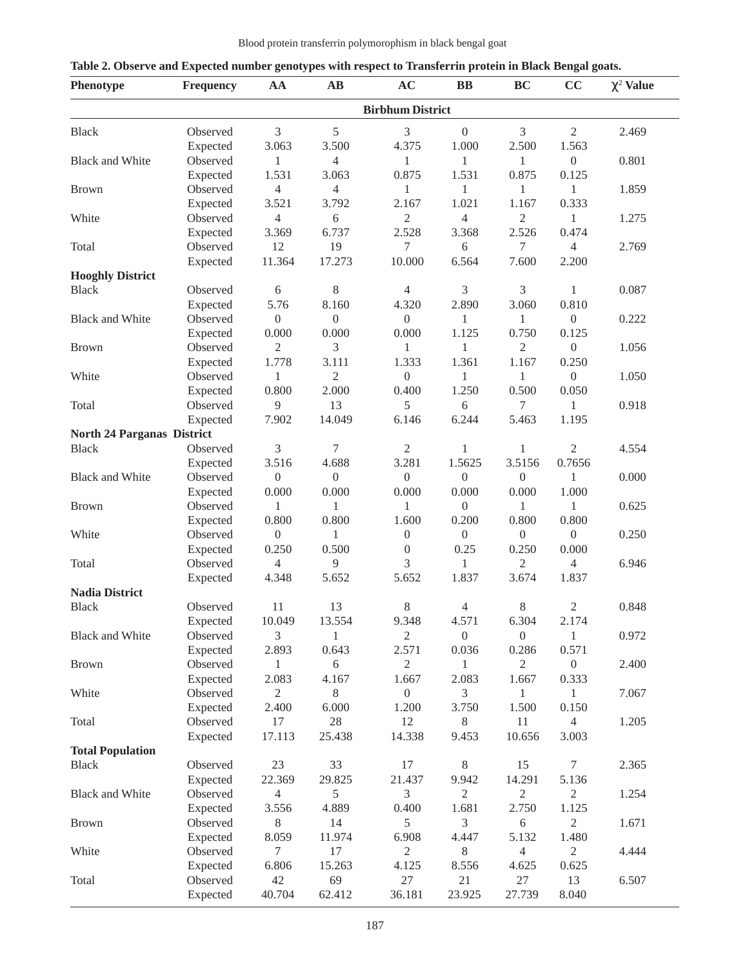| Phenotype                         | <b>Frequency</b>     | AA               | $\mathbf{A}\mathbf{B}$ | AC                      | $\mathbf{B}$     | <b>BC</b>        | $\tilde{\phantom{a}}$<br>CC | $\chi^2$ Value |
|-----------------------------------|----------------------|------------------|------------------------|-------------------------|------------------|------------------|-----------------------------|----------------|
|                                   |                      |                  |                        | <b>Birbhum District</b> |                  |                  |                             |                |
| <b>Black</b>                      | Observed             | 3                | 5                      | 3                       | $\boldsymbol{0}$ | 3                | $\mathfrak{2}$              | 2.469          |
|                                   | Expected             | 3.063            | 3.500                  | 4.375                   | 1.000            | 2.500            | 1.563                       |                |
| <b>Black and White</b>            | Observed             | $\mathbf{1}$     | 4                      | 1                       | 1                | 1                | $\boldsymbol{0}$            | 0.801          |
|                                   | Expected             | 1.531            | 3.063                  | 0.875                   | 1.531            | 0.875            | 0.125                       |                |
| <b>Brown</b>                      | Observed             | $\overline{4}$   | 4                      | 1                       | 1                | 1                | 1                           | 1.859          |
|                                   | Expected             | 3.521            | 3.792                  | 2.167                   | 1.021            | 1.167            | 0.333                       |                |
| White                             | Observed             | $\overline{4}$   | 6                      | $\overline{2}$          | 4                | $\overline{c}$   | 1                           | 1.275          |
|                                   | Expected             | 3.369            | 6.737                  | 2.528                   | 3.368            | 2.526            | 0.474                       |                |
| Total                             | Observed             | 12               | 19                     | 7                       | 6                | 7                | $\overline{4}$              | 2.769          |
|                                   | Expected             | 11.364           | 17.273                 | 10.000                  | 6.564            | 7.600            | 2.200                       |                |
| <b>Hooghly District</b>           |                      |                  |                        |                         |                  |                  |                             |                |
| <b>Black</b>                      | Observed             | $\sqrt{6}$       | $8\,$                  | $\overline{4}$          | $\mathfrak{Z}$   | 3                | 1                           | 0.087          |
|                                   |                      | 5.76             |                        |                         | 2.890            |                  |                             |                |
|                                   | Expected             |                  | 8.160                  | 4.320                   |                  | 3.060            | 0.810                       |                |
| <b>Black and White</b>            | Observed             | $\boldsymbol{0}$ | $\boldsymbol{0}$       | $\boldsymbol{0}$        | 1                | 1                | $\boldsymbol{0}$            | 0.222          |
|                                   | Expected             | 0.000            | 0.000                  | 0.000                   | 1.125            | 0.750            | 0.125                       |                |
| <b>Brown</b>                      | Observed             | $\mathfrak{2}$   | 3                      | 1                       | 1                | 2                | $\boldsymbol{0}$            | 1.056          |
|                                   | Expected             | 1.778            | 3.111                  | 1.333                   | 1.361            | 1.167            | 0.250                       |                |
| White                             | Observed             | 1                | 2                      | $\boldsymbol{0}$        | 1                | 1                | $\boldsymbol{0}$            | 1.050          |
|                                   | Expected             | 0.800            | 2.000                  | 0.400                   | 1.250            | 0.500            | 0.050                       |                |
| Total                             | Observed             | 9                | 13                     | 5                       | 6                | 7                | 1                           | 0.918          |
|                                   | Expected             | 7.902            | 14.049                 | 6.146                   | 6.244            | 5.463            | 1.195                       |                |
| <b>North 24 Parganas District</b> |                      |                  |                        |                         |                  |                  |                             |                |
| <b>Black</b>                      | Observed             | 3                | 7                      | $\mathbf{2}$            | 1                | 1                | $\overline{2}$              | 4.554          |
|                                   | Expected             | 3.516            | 4.688                  | 3.281                   | 1.5625           | 3.5156           | 0.7656                      |                |
| <b>Black and White</b>            | Observed             | $\boldsymbol{0}$ | $\boldsymbol{0}$       | $\boldsymbol{0}$        | $\boldsymbol{0}$ | $\boldsymbol{0}$ | 1                           | 0.000          |
|                                   | Expected             | 0.000            | 0.000                  | 0.000                   | 0.000            | 0.000            | 1.000                       |                |
| <b>Brown</b>                      | Observed             | $\mathbf{1}$     | 1                      | 1                       | $\overline{0}$   | 1                | $\mathbf{1}$                | 0.625          |
|                                   | Expected             | 0.800            | 0.800                  | 1.600                   | 0.200            | 0.800            | 0.800                       |                |
| White                             | Observed             | $\boldsymbol{0}$ | 1                      | $\boldsymbol{0}$        | $\boldsymbol{0}$ | $\boldsymbol{0}$ | $\boldsymbol{0}$            | 0.250          |
|                                   | Expected             | 0.250            | 0.500                  | $\boldsymbol{0}$        | 0.25             | 0.250            | 0.000                       |                |
| Total                             | Observed             | $\overline{4}$   | 9                      | 3                       | 1                | $\overline{c}$   | $\overline{4}$              | 6.946          |
|                                   | Expected             | 4.348            | 5.652                  | 5.652                   | 1.837            | 3.674            | 1.837                       |                |
| <b>Nadia District</b>             |                      |                  |                        |                         |                  |                  |                             |                |
| Black                             | Observed             | 11               | 13                     | 8                       | $\overline{4}$   | 8                | 2                           | 0.848          |
|                                   |                      | 10.049           | 13.554                 | 9.348                   | 4.571            | 6.304            | 2.174                       |                |
|                                   | Expected<br>Observed | 3                | 1                      | $\overline{2}$          | $\boldsymbol{0}$ | $\boldsymbol{0}$ | 1                           | 0.972          |
| <b>Black and White</b>            |                      |                  |                        |                         |                  |                  |                             |                |
|                                   | Expected             | 2.893            | 0.643                  | 2.571                   | 0.036            | 0.286            | 0.571                       |                |
| <b>Brown</b>                      | Observed             | 1                | 6                      | $\mathbf{2}$            | 1                | 2                | $\boldsymbol{0}$            | 2.400          |
|                                   | Expected             | 2.083            | 4.167                  | 1.667                   | 2.083            | 1.667            | 0.333                       |                |
| White                             | Observed             | $\overline{2}$   | 8                      | $\boldsymbol{0}$        | 3                | 1                | 1                           | 7.067          |
|                                   | Expected             | 2.400            | 6.000                  | 1.200                   | 3.750            | 1.500            | 0.150                       |                |
| Total                             | Observed             | 17               | 28                     | 12                      | 8                | 11               | $\overline{4}$              | 1.205          |
|                                   | Expected             | 17.113           | 25.438                 | 14.338                  | 9.453            | 10.656           | 3.003                       |                |
| <b>Total Population</b>           |                      |                  |                        |                         |                  |                  |                             |                |
| <b>Black</b>                      | Observed             | 23               | 33                     | 17                      | 8                | 15               | 7                           | 2.365          |
|                                   | Expected             | 22.369           | 29.825                 | 21.437                  | 9.942            | 14.291           | 5.136                       |                |
| <b>Black and White</b>            | Observed             | $\overline{4}$   | 5                      | 3                       | $\mathbf{2}$     | 2                | $\mathbf{2}$                | 1.254          |
|                                   | Expected             | 3.556            | 4.889                  | 0.400                   | 1.681            | 2.750            | 1.125                       |                |
| <b>Brown</b>                      | Observed             | $8\,$            | 14                     | 5                       | 3                | 6                | $\overline{2}$              | 1.671          |
|                                   | Expected             | 8.059            | 11.974                 | 6.908                   | 4.447            | 5.132            | 1.480                       |                |
| White                             | Observed             | $\tau$           | 17                     | $\overline{2}$          | 8                | 4                | $\overline{2}$              | 4.444          |
|                                   | Expected             | 6.806            | 15.263                 | 4.125                   | 8.556            | 4.625            | 0.625                       |                |
| Total                             | Observed             | 42               | 69                     | 27                      | 21               | 27               | 13                          | 6.507          |
|                                   | Expected             | 40.704           | 62.412                 | 36.181                  | 23.925           | 27.739           | 8.040                       |                |

|  | Table 2. Observe and Expected number genotypes with respect to Transferrin protein in Black Bengal goats. |
|--|-----------------------------------------------------------------------------------------------------------|
|  |                                                                                                           |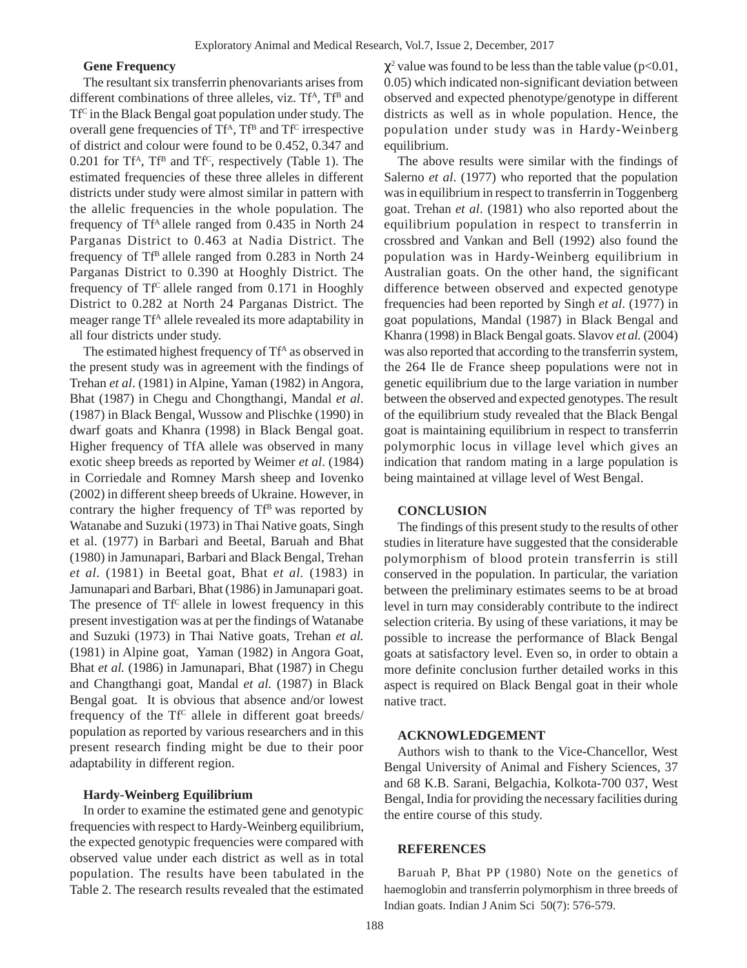# **Gene Frequency**

The resultant six transferrin phenovariants arises from different combinations of three alleles, viz. Tf<sup>A</sup>, Tf<sup>B</sup> and TfC in the Black Bengal goat population under study. The overall gene frequencies of  $Tf^A$ ,  $Tf^B$  and  $Tf^C$  irrespective of district and colour were found to be 0.452, 0.347 and 0.201 for Tf<sup>A</sup>, Tf<sup>B</sup> and Tf<sup>C</sup>, respectively (Table 1). The estimated frequencies of these three alleles in different districts under study were almost similar in pattern with the allelic frequencies in the whole population. The frequency of Tf<sup>A</sup> allele ranged from 0.435 in North 24 Parganas District to 0.463 at Nadia District. The frequency of  $Tf^B$  allele ranged from 0.283 in North 24 Parganas District to 0.390 at Hooghly District. The frequency of  $Tf^C$  allele ranged from 0.171 in Hooghly District to 0.282 at North 24 Parganas District. The meager range Tf<sup>A</sup> allele revealed its more adaptability in all four districts under study.

The estimated highest frequency of Tf<sup>A</sup> as observed in the present study was in agreement with the findings of Trehan *et al*. (1981) in Alpine, Yaman (1982) in Angora, Bhat (1987) in Chegu and Chongthangi, Mandal *et al*. (1987) in Black Bengal, Wussow and Plischke (1990) in dwarf goats and Khanra (1998) in Black Bengal goat. Higher frequency of TfA allele was observed in many exotic sheep breeds as reported by Weimer *et al*. (1984) in Corriedale and Romney Marsh sheep and Iovenko (2002) in different sheep breeds of Ukraine. However, in contrary the higher frequency of  $Tf^B$  was reported by Watanabe and Suzuki (1973) in Thai Native goats, Singh et al. (1977) in Barbari and Beetal, Baruah and Bhat (1980) in Jamunapari, Barbari and Black Bengal, Trehan *et al.* (1981) in Beetal goat, Bhat *et al.* (1983) in Jamunapari and Barbari, Bhat (1986) in Jamunapari goat. The presence of  $Tf^C$  allele in lowest frequency in this present investigation was at per the findings of Watanabe and Suzuki (1973) in Thai Native goats, Trehan *et al.* (1981) in Alpine goat, Yaman (1982) in Angora Goat, Bhat *et al.* (1986) in Jamunapari, Bhat (1987) in Chegu and Changthangi goat, Mandal *et al.* (1987) in Black Bengal goat. It is obvious that absence and/or lowest frequency of the  $Tf^c$  allele in different goat breeds/ population as reported by various researchers and in this present research finding might be due to their poor adaptability in different region.

## **Hardy-Weinberg Equilibrium**

In order to examine the estimated gene and genotypic frequencies with respect to Hardy-Weinberg equilibrium, the expected genotypic frequencies were compared with observed value under each district as well as in total population. The results have been tabulated in the Table 2. The research results revealed that the estimated

 $\chi^2$  value was found to be less than the table value (p<0.01, 0.05) which indicated non-significant deviation between observed and expected phenotype/genotype in different districts as well as in whole population. Hence, the population under study was in Hardy-Weinberg equilibrium.

The above results were similar with the findings of Salerno *et al*. (1977) who reported that the population was in equilibrium in respect to transferrin in Toggenberg goat. Trehan *et al*. (1981) who also reported about the equilibrium population in respect to transferrin in crossbred and Vankan and Bell (1992) also found the population was in Hardy-Weinberg equilibrium in Australian goats. On the other hand, the significant difference between observed and expected genotype frequencies had been reported by Singh *et al*. (1977) in goat populations, Mandal (1987) in Black Bengal and Khanra (1998) in Black Bengal goats. Slavov *et al.* (2004) was also reported that according to the transferrin system, the 264 Ile de France sheep populations were not in genetic equilibrium due to the large variation in number between the observed and expected genotypes. The result of the equilibrium study revealed that the Black Bengal goat is maintaining equilibrium in respect to transferrin polymorphic locus in village level which gives an indication that random mating in a large population is being maintained at village level of West Bengal.

#### **CONCLUSION**

The findings of this present study to the results of other studies in literature have suggested that the considerable polymorphism of blood protein transferrin is still conserved in the population. In particular, the variation between the preliminary estimates seems to be at broad level in turn may considerably contribute to the indirect selection criteria. By using of these variations, it may be possible to increase the performance of Black Bengal goats at satisfactory level. Even so, in order to obtain a more definite conclusion further detailed works in this aspect is required on Black Bengal goat in their whole native tract.

### **ACKNOWLEDGEMENT**

Authors wish to thank to the Vice-Chancellor, West Bengal University of Animal and Fishery Sciences, 37 and 68 K.B. Sarani, Belgachia, Kolkota-700 037, West Bengal, India for providing the necessary facilities during the entire course of this study.

## **REFERENCES**

Baruah P, Bhat PP (1980) Note on the genetics of haemoglobin and transferrin polymorphism in three breeds of Indian goats. Indian J Anim Sci 50(7): 576-579.